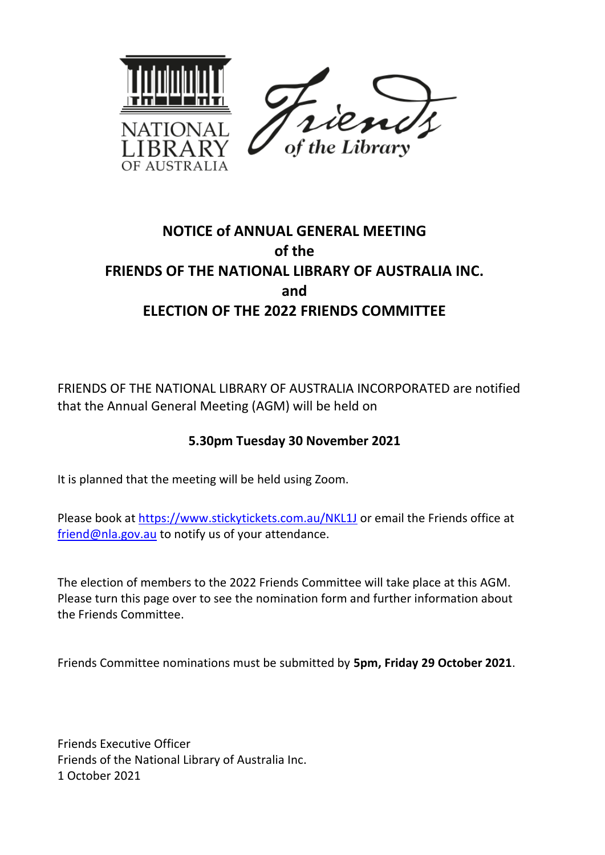

## **NOTICE of ANNUAL GENERAL MEETING of the FRIENDS OF THE NATIONAL LIBRARY OF AUSTRALIA INC. and ELECTION OF THE 2022 FRIENDS COMMITTEE**

FRIENDS OF THE NATIONAL LIBRARY OF AUSTRALIA INCORPORATED are notified that the Annual General Meeting (AGM) will be held on

## **5.30pm Tuesday 30 November 2021**

It is planned that the meeting will be held using Zoom.

Please book at<https://www.stickytickets.com.au/NKL1J> or email the Friends office at [friend@nla.gov.au](mailto:friend@nla.gov.au) to notify us of your attendance.

The election of members to the 2022 Friends Committee will take place at this AGM. Please turn this page over to see the nomination form and further information about the Friends Committee.

Friends Committee nominations must be submitted by **5pm, Friday 29 October 2021**.

Friends Executive Officer Friends of the National Library of Australia Inc. 1 October 2021